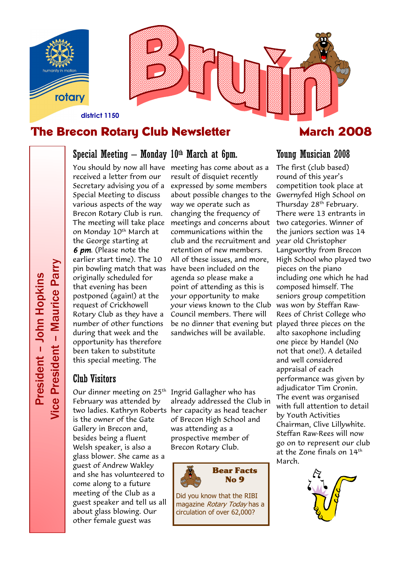



## Special Meeting – Monday  $10<sup>th</sup>$  March at 6pm.

received a letter from our Secretary advising you of a Special Meeting to discuss various aspects of the way Brecon Rotary Club is run. The meeting will take place on Monday 10<sup>th</sup> March at the George starting at 6 pm. (Please note the earlier start time). The 10 pin bowling match that was have been included on the originally scheduled for that evening has been postponed (again!) at the request of Crickhowell Rotary Club as they have a number of other functions during that week and the opportunity has therefore been taken to substitute this special meeting. The

#### Club Visitors

Our dinner meeting on 25th February was attended by is the owner of the Gate Gallery in Brecon and, besides being a fluent Welsh speaker, is also a glass blower. She came as a guest of Andrew Wakley and she has volunteered to come along to a future meeting of the Club as a guest speaker and tell us all about glass blowing. Our other female guest was

You should by now all have meeting has come about as a result of disquiet recently expressed by some members about possible changes to the Gwernyfed High School on way we operate such as changing the frequency of meetings and concerns about two categories. Winner of communications within the club and the recruitment and retention of new members. All of these issues, and more, agenda so please make a point of attending as this is your opportunity to make your views known to the Club Council members. There will be no dinner that evening but played three pieces on the sandwiches will be available.

two ladies. Kathryn Roberts her capacity as head teacher Ingrid Gallagher who has already addressed the Club in of Brecon High School and was attending as a prospective member of Brecon Rotary Club.



Did you know that the RIBI magazine Rotary Today has a circulation of over 62,000?

### Young Musician 2008

The first (club based) round of this year's competition took place at Thursday 28<sup>th</sup> February. There were 13 entrants in the juniors section was 14 year old Christopher Langworthy from Brecon High School who played two pieces on the piano including one which he had composed himself. The seniors group competition was won by Steffan Raw-Rees of Christ College who alto saxophone including one piece by Handel (No not that one!). A detailed and well considered appraisal of each performance was given by adjudicator Tim Cronin. The event was organised with full attention to detail by Youth Activities Chairman, Clive Lillywhite. Steffan Raw-Rees will now go on to represent our club at the Zone finals on 14th March.